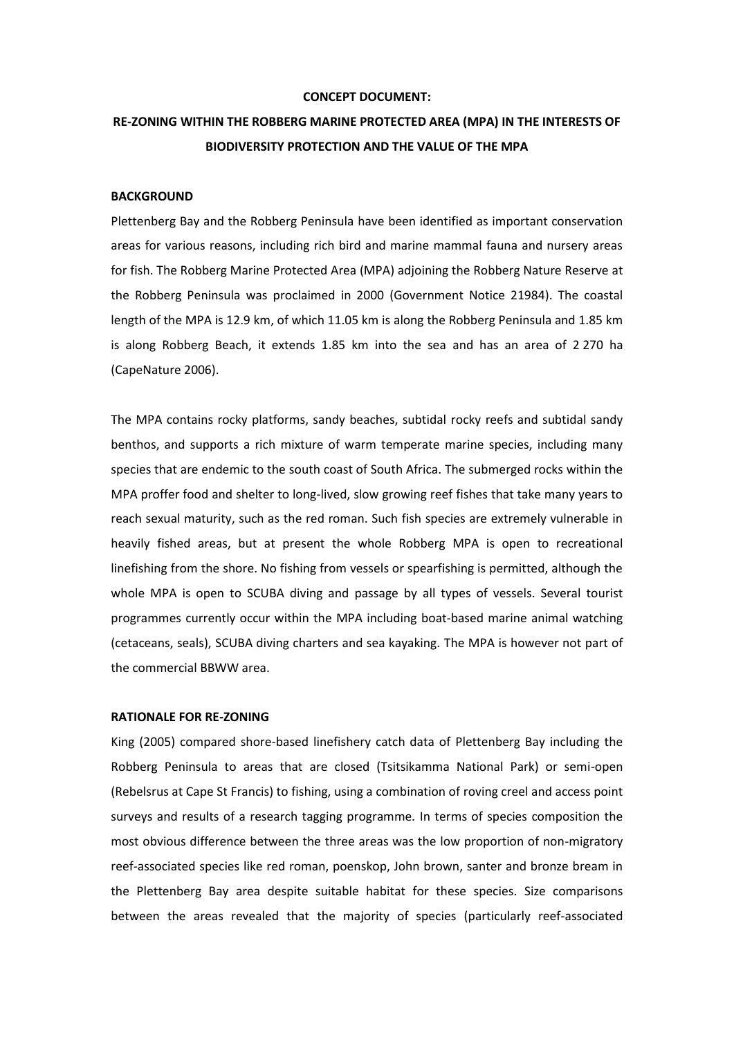#### **CONCEPT DOCUMENT:**

# **RE-ZONING WITHIN THE ROBBERG MARINE PROTECTED AREA (MPA) IN THE INTERESTS OF BIODIVERSITY PROTECTION AND THE VALUE OF THE MPA**

# **BACKGROUND**

Plettenberg Bay and the Robberg Peninsula have been identified as important conservation areas for various reasons, including rich bird and marine mammal fauna and nursery areas for fish. The Robberg Marine Protected Area (MPA) adjoining the Robberg Nature Reserve at the Robberg Peninsula was proclaimed in 2000 (Government Notice 21984). The coastal length of the MPA is 12.9 km, of which 11.05 km is along the Robberg Peninsula and 1.85 km is along Robberg Beach, it extends 1.85 km into the sea and has an area of 2 270 ha (CapeNature 2006).

The MPA contains rocky platforms, sandy beaches, subtidal rocky reefs and subtidal sandy benthos, and supports a rich mixture of warm temperate marine species, including many species that are endemic to the south coast of South Africa. The submerged rocks within the MPA proffer food and shelter to long-lived, slow growing reef fishes that take many years to reach sexual maturity, such as the red roman. Such fish species are extremely vulnerable in heavily fished areas, but at present the whole Robberg MPA is open to recreational linefishing from the shore. No fishing from vessels or spearfishing is permitted, although the whole MPA is open to SCUBA diving and passage by all types of vessels. Several tourist programmes currently occur within the MPA including boat-based marine animal watching (cetaceans, seals), SCUBA diving charters and sea kayaking. The MPA is however not part of the commercial BBWW area.

# **RATIONALE FOR RE-ZONING**

King (2005) compared shore-based linefishery catch data of Plettenberg Bay including the Robberg Peninsula to areas that are closed (Tsitsikamma National Park) or semi-open (Rebelsrus at Cape St Francis) to fishing, using a combination of roving creel and access point surveys and results of a research tagging programme. In terms of species composition the most obvious difference between the three areas was the low proportion of non-migratory reef-associated species like red roman, poenskop, John brown, santer and bronze bream in the Plettenberg Bay area despite suitable habitat for these species. Size comparisons between the areas revealed that the majority of species (particularly reef-associated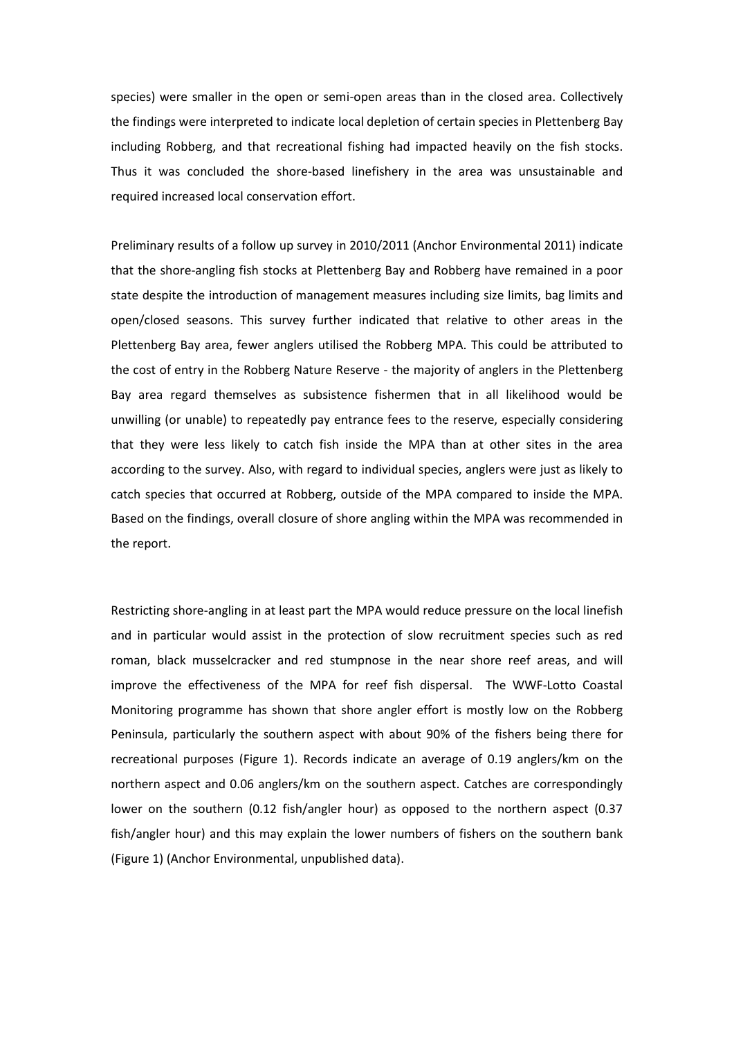species) were smaller in the open or semi-open areas than in the closed area. Collectively the findings were interpreted to indicate local depletion of certain species in Plettenberg Bay including Robberg, and that recreational fishing had impacted heavily on the fish stocks. Thus it was concluded the shore-based linefishery in the area was unsustainable and required increased local conservation effort.

Preliminary results of a follow up survey in 2010/2011 (Anchor Environmental 2011) indicate that the shore-angling fish stocks at Plettenberg Bay and Robberg have remained in a poor state despite the introduction of management measures including size limits, bag limits and open/closed seasons. This survey further indicated that relative to other areas in the Plettenberg Bay area, fewer anglers utilised the Robberg MPA. This could be attributed to the cost of entry in the Robberg Nature Reserve - the majority of anglers in the Plettenberg Bay area regard themselves as subsistence fishermen that in all likelihood would be unwilling (or unable) to repeatedly pay entrance fees to the reserve, especially considering that they were less likely to catch fish inside the MPA than at other sites in the area according to the survey. Also, with regard to individual species, anglers were just as likely to catch species that occurred at Robberg, outside of the MPA compared to inside the MPA. Based on the findings, overall closure of shore angling within the MPA was recommended in the report.

Restricting shore-angling in at least part the MPA would reduce pressure on the local linefish and in particular would assist in the protection of slow recruitment species such as red roman, black musselcracker and red stumpnose in the near shore reef areas, and will improve the effectiveness of the MPA for reef fish dispersal. The WWF-Lotto Coastal Monitoring programme has shown that shore angler effort is mostly low on the Robberg Peninsula, particularly the southern aspect with about 90% of the fishers being there for recreational purposes (Figure 1). Records indicate an average of 0.19 anglers/km on the northern aspect and 0.06 anglers/km on the southern aspect. Catches are correspondingly lower on the southern (0.12 fish/angler hour) as opposed to the northern aspect (0.37 fish/angler hour) and this may explain the lower numbers of fishers on the southern bank (Figure 1) (Anchor Environmental, unpublished data).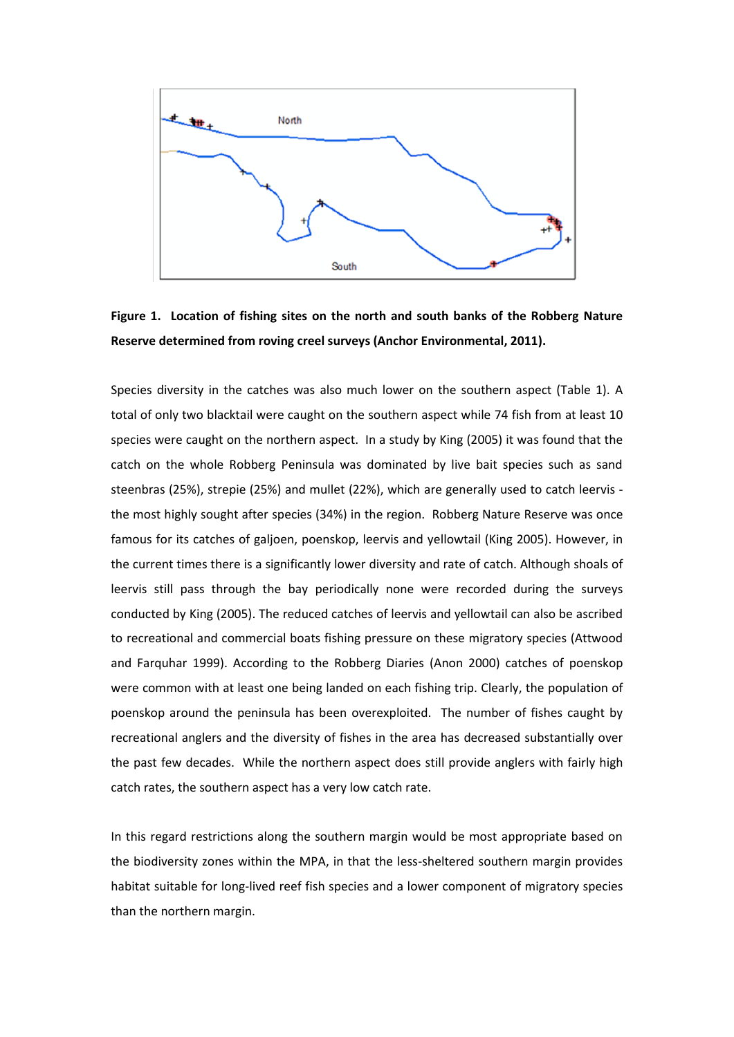

**Figure 1. Location of fishing sites on the north and south banks of the Robberg Nature Reserve determined from roving creel surveys (Anchor Environmental, 2011).**

Species diversity in the catches was also much lower on the southern aspect (Table 1). A total of only two blacktail were caught on the southern aspect while 74 fish from at least 10 species were caught on the northern aspect. In a study by King (2005) it was found that the catch on the whole Robberg Peninsula was dominated by live bait species such as sand steenbras (25%), strepie (25%) and mullet (22%), which are generally used to catch leervis the most highly sought after species (34%) in the region. Robberg Nature Reserve was once famous for its catches of galjoen, poenskop, leervis and yellowtail (King 2005). However, in the current times there is a significantly lower diversity and rate of catch. Although shoals of leervis still pass through the bay periodically none were recorded during the surveys conducted by King (2005). The reduced catches of leervis and yellowtail can also be ascribed to recreational and commercial boats fishing pressure on these migratory species (Attwood and Farquhar 1999). According to the Robberg Diaries (Anon 2000) catches of poenskop were common with at least one being landed on each fishing trip. Clearly, the population of poenskop around the peninsula has been overexploited. The number of fishes caught by recreational anglers and the diversity of fishes in the area has decreased substantially over the past few decades. While the northern aspect does still provide anglers with fairly high catch rates, the southern aspect has a very low catch rate.

In this regard restrictions along the southern margin would be most appropriate based on the biodiversity zones within the MPA, in that the less-sheltered southern margin provides habitat suitable for long-lived reef fish species and a lower component of migratory species than the northern margin.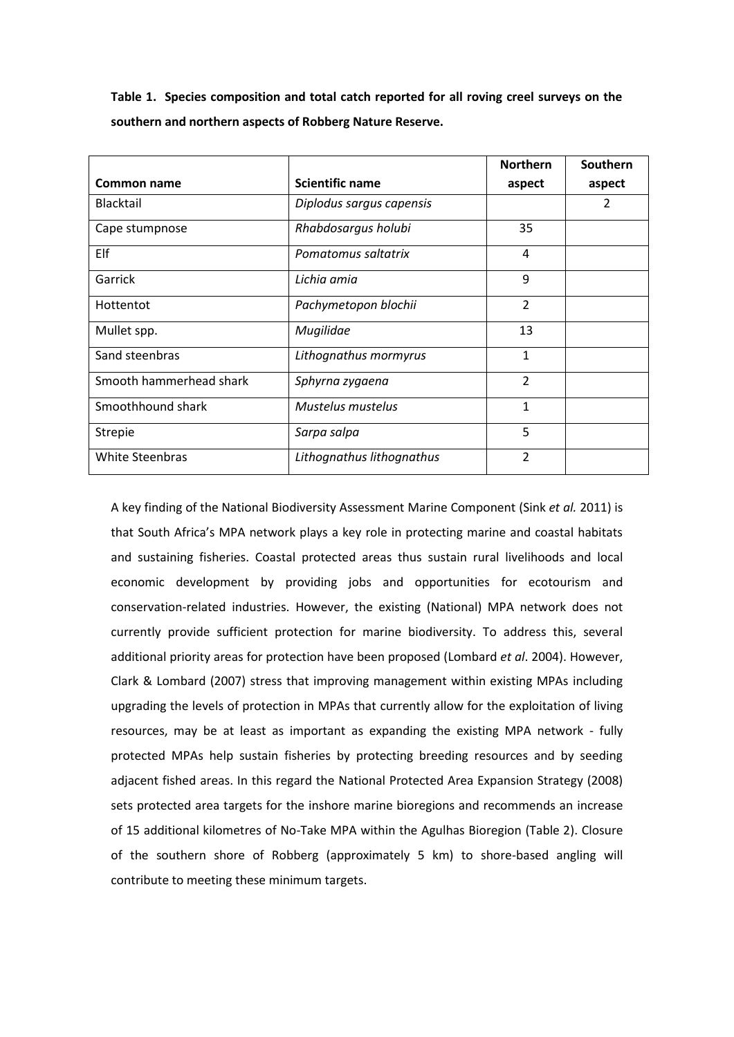**Table 1. Species composition and total catch reported for all roving creel surveys on the southern and northern aspects of Robberg Nature Reserve.**

|                         |                           |                | Southern |
|-------------------------|---------------------------|----------------|----------|
| Common name             | <b>Scientific name</b>    | aspect         | aspect   |
| Blacktail               | Diplodus sargus capensis  |                | 2        |
| Cape stumpnose          | Rhabdosargus holubi       | 35             |          |
| Elf                     | Pomatomus saltatrix       | 4              |          |
| Garrick                 | Lichia amia               | 9              |          |
| Hottentot               | Pachymetopon blochii      | $\overline{2}$ |          |
| Mullet spp.             | Mugilidae                 | 13             |          |
| Sand steenbras          | Lithognathus mormyrus     | 1              |          |
| Smooth hammerhead shark | Sphyrna zygaena           | $\overline{2}$ |          |
| Smoothhound shark       | Mustelus mustelus         | 1              |          |
| <b>Strepie</b>          | Sarpa salpa               | 5              |          |
| White Steenbras         | Lithognathus lithognathus | $\overline{2}$ |          |

A key finding of the National Biodiversity Assessment Marine Component (Sink *et al.* 2011) is that South Africa's MPA network plays a key role in protecting marine and coastal habitats and sustaining fisheries. Coastal protected areas thus sustain rural livelihoods and local economic development by providing jobs and opportunities for ecotourism and conservation-related industries. However, the existing (National) MPA network does not currently provide sufficient protection for marine biodiversity. To address this, several additional priority areas for protection have been proposed (Lombard *et al*. 2004). However, Clark & Lombard (2007) stress that improving management within existing MPAs including upgrading the levels of protection in MPAs that currently allow for the exploitation of living resources, may be at least as important as expanding the existing MPA network - fully protected MPAs help sustain fisheries by protecting breeding resources and by seeding adjacent fished areas. In this regard the National Protected Area Expansion Strategy (2008) sets protected area targets for the inshore marine bioregions and recommends an increase of 15 additional kilometres of No-Take MPA within the Agulhas Bioregion (Table 2). Closure of the southern shore of Robberg (approximately 5 km) to shore-based angling will contribute to meeting these minimum targets.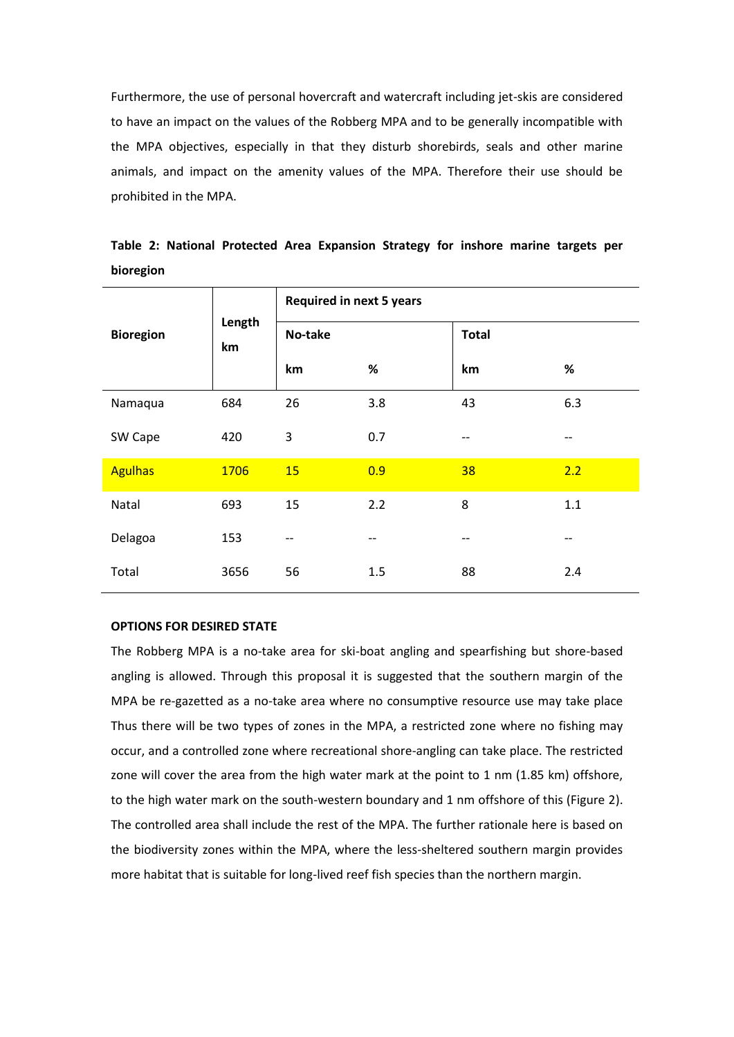Furthermore, the use of personal hovercraft and watercraft including jet-skis are considered to have an impact on the values of the Robberg MPA and to be generally incompatible with the MPA objectives, especially in that they disturb shorebirds, seals and other marine animals, and impact on the amenity values of the MPA. Therefore their use should be prohibited in the MPA.

| <b>Bioregion</b> | Length<br>km | <b>Required in next 5 years</b> |      |              |      |  |
|------------------|--------------|---------------------------------|------|--------------|------|--|
|                  |              | No-take                         |      | <b>Total</b> |      |  |
|                  |              | km                              | $\%$ | km           | $\%$ |  |
| Namaqua          | 684          | 26                              | 3.8  | 43           | 6.3  |  |
| SW Cape          | 420          | 3                               | 0.7  | --           | --   |  |
| <b>Agulhas</b>   | 1706         | 15                              | 0.9  | 38           | 2.2  |  |
| Natal            | 693          | 15                              | 2.2  | 8            | 1.1  |  |
| Delagoa          | 153          | --                              | --   | $- -$        | --   |  |
| Total            | 3656         | 56                              | 1.5  | 88           | 2.4  |  |

**Table 2: National Protected Area Expansion Strategy for inshore marine targets per bioregion**

# **OPTIONS FOR DESIRED STATE**

The Robberg MPA is a no-take area for ski-boat angling and spearfishing but shore-based angling is allowed. Through this proposal it is suggested that the southern margin of the MPA be re-gazetted as a no-take area where no consumptive resource use may take place Thus there will be two types of zones in the MPA, a restricted zone where no fishing may occur, and a controlled zone where recreational shore-angling can take place. The restricted zone will cover the area from the high water mark at the point to 1 nm (1.85 km) offshore, to the high water mark on the south-western boundary and 1 nm offshore of this (Figure 2). The controlled area shall include the rest of the MPA. The further rationale here is based on the biodiversity zones within the MPA, where the less-sheltered southern margin provides more habitat that is suitable for long-lived reef fish species than the northern margin.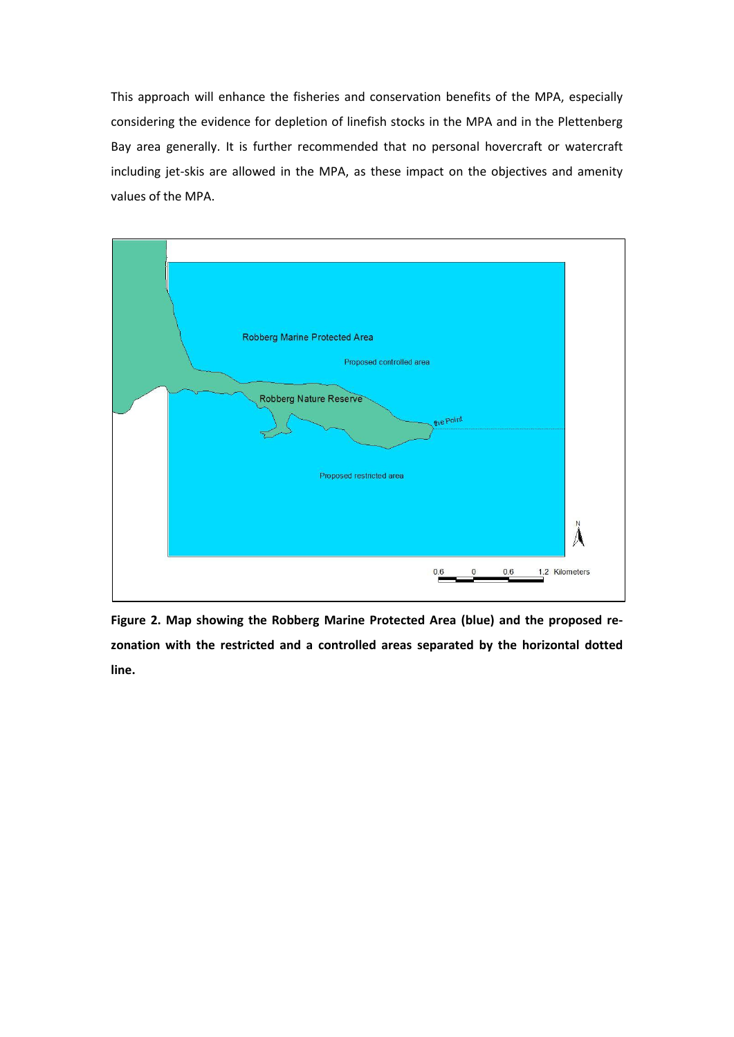This approach will enhance the fisheries and conservation benefits of the MPA, especially considering the evidence for depletion of linefish stocks in the MPA and in the Plettenberg Bay area generally. It is further recommended that no personal hovercraft or watercraft including jet-skis are allowed in the MPA, as these impact on the objectives and amenity values of the MPA.



**Figure 2. Map showing the Robberg Marine Protected Area (blue) and the proposed rezonation with the restricted and a controlled areas separated by the horizontal dotted line.**